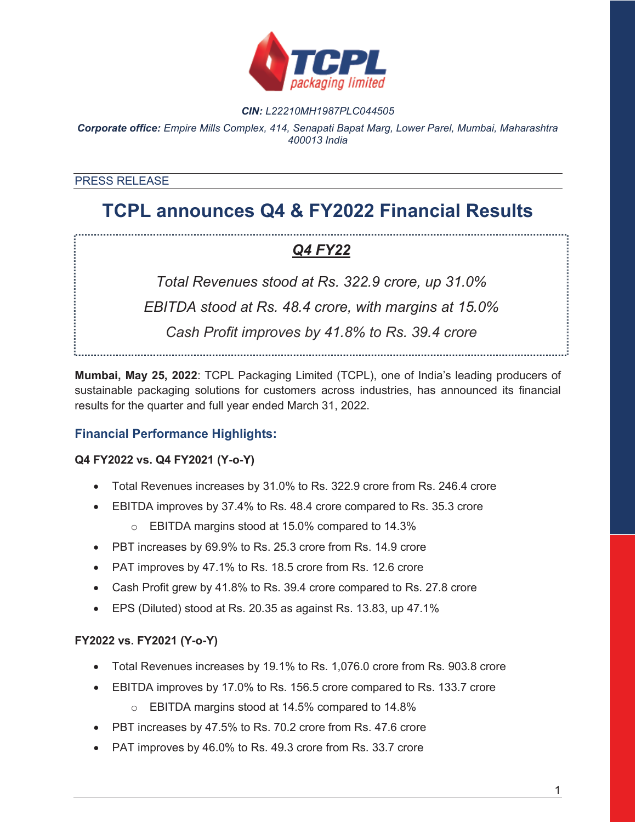

#### *CIN: L22210MH1987PLC044505*

*Corporate office: Empire Mills Complex, 414, Senapati Bapat Marg, Lower Parel, Mumbai, Maharashtra 400013 India*

#### PRESS RELEASE

# **TCPL announces Q4 & FY2022 Financial Results**

## *Q4 FY22*

*Total Revenues stood at Rs. 322.9 crore, up 31.0% EBITDA stood at Rs. 48.4 crore, with margins at 15.0% Cash Profit improves by 41.8% to Rs. 39.4 crore*

**Mumbai, May 25, 2022**: TCPL Packaging Limited (TCPL), one of India's leading producers of sustainable packaging solutions for customers across industries, has announced its financial results for the quarter and full year ended March 31, 2022.

### **Financial Performance Highlights:**

#### **Q4 FY2022 vs. Q4 FY2021 (Y-o-Y)**

- Total Revenues increases by 31.0% to Rs. 322.9 crore from Rs. 246.4 crore
- EBITDA improves by 37.4% to Rs. 48.4 crore compared to Rs. 35.3 crore
	- o EBITDA margins stood at 15.0% compared to 14.3%
- PBT increases by 69.9% to Rs. 25.3 crore from Rs. 14.9 crore
- PAT improves by 47.1% to Rs. 18.5 crore from Rs. 12.6 crore
- Cash Profit grew by 41.8% to Rs. 39.4 crore compared to Rs. 27.8 crore
- $\bullet$  EPS (Diluted) stood at Rs. 20.35 as against Rs. 13.83, up 47.1%

#### **FY2022 vs. FY2021 (Y-o-Y)**

- Total Revenues increases by 19.1% to Rs. 1,076.0 crore from Rs. 903.8 crore
- EBITDA improves by 17.0% to Rs. 156.5 crore compared to Rs. 133.7 crore
	- o EBITDA margins stood at 14.5% compared to 14.8%
- PBT increases by 47.5% to Rs. 70.2 crore from Rs. 47.6 crore
- PAT improves by 46.0% to Rs. 49.3 crore from Rs. 33.7 crore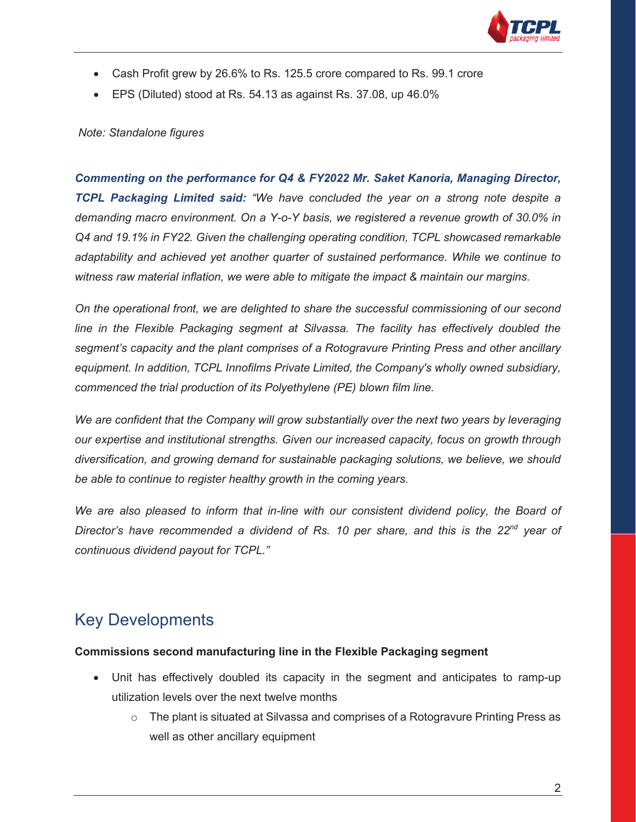

- Cash Profit grew by 26.6% to Rs. 125.5 crore compared to Rs. 99.1 crore
- $\bullet$  EPS (Diluted) stood at Rs. 54.13 as against Rs. 37.08, up 46.0%

#### *Note: Standalone figures*

*Commenting on the performance for Q4 & FY2022 Mr. Saket Kanoria, Managing Director, TCPL Packaging Limited said: "We have concluded the year on a strong note despite a demanding macro environment. On a Y-o-Y basis, we registered a revenue growth of 30.0% in Q4 and 19.1% in FY22. Given the challenging operating condition, TCPL showcased remarkable adaptability and achieved yet another quarter of sustained performance. While we continue to witness raw material inflation, we were able to mitigate the impact & maintain our margins.*

*On the operational front, we are delighted to share the successful commissioning of our second line in the Flexible Packaging segment at Silvassa. The facility has effectively doubled the segment's capacity and the plant comprises of a Rotogravure Printing Press and other ancillary equipment. In addition, TCPL Innofilms Private Limited, the Company's wholly owned subsidiary, commenced the trial production of its Polyethylene (PE) blown film line.* 

*We are confident that the Company will grow substantially over the next two years by leveraging our expertise and institutional strengths. Given our increased capacity, focus on growth through diversification, and growing demand for sustainable packaging solutions, we believe, we should be able to continue to register healthy growth in the coming years.* 

We are also pleased to inform that in-line with our consistent dividend policy, the Board of *Director's have recommended a dividend of Rs. 10 per share, and this is the 22nd year of continuous dividend payout for TCPL."*

### Key Developments

#### **Commissions second manufacturing line in the Flexible Packaging segment**

- Unit has effectively doubled its capacity in the segment and anticipates to ramp-up utilization levels over the next twelve months
	- $\circ$  The plant is situated at Silvassa and comprises of a Rotogravure Printing Press as well as other ancillary equipment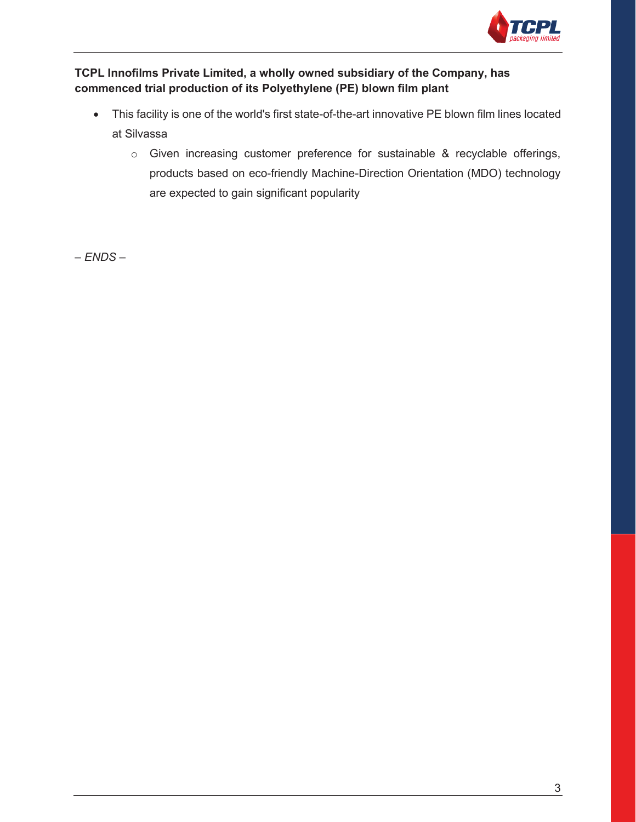

### **TCPL Innofilms Private Limited, a wholly owned subsidiary of the Company, has commenced trial production of its Polyethylene (PE) blown film plant**

- This facility is one of the world's first state-of-the-art innovative PE blown film lines located at Silvassa
	- o Given increasing customer preference for sustainable & recyclable offerings, products based on eco-friendly Machine-Direction Orientation (MDO) technology are expected to gain significant popularity

*– ENDS –*